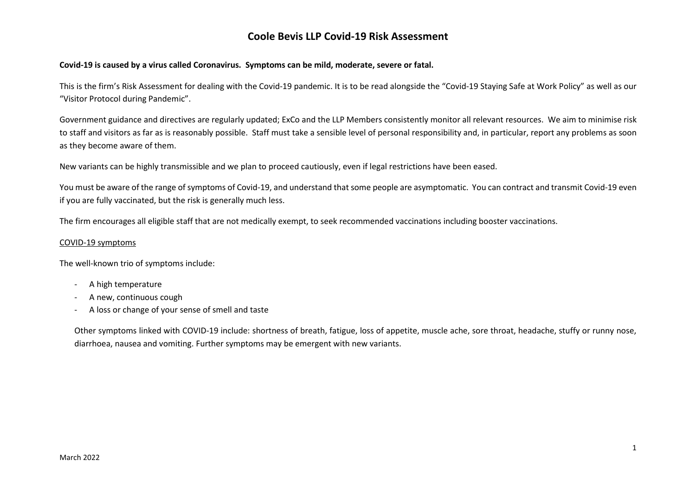#### **Covid-19 is caused by a virus called Coronavirus. Symptoms can be mild, moderate, severe or fatal.**

This is the firm's Risk Assessment for dealing with the Covid-19 pandemic. It is to be read alongside the "Covid-19 Staying Safe at Work Policy" as well as our "Visitor Protocol during Pandemic".

Government guidance and directives are regularly updated; ExCo and the LLP Members consistently monitor all relevant resources. We aim to minimise risk to staff and visitors as far as is reasonably possible. Staff must take a sensible level of personal responsibility and, in particular, report any problems as soon as they become aware of them.

New variants can be highly transmissible and we plan to proceed cautiously, even if legal restrictions have been eased.

You must be aware of the range of symptoms of Covid-19, and understand that some people are asymptomatic. You can contract and transmit Covid-19 even if you are fully vaccinated, but the risk is generally much less.

The firm encourages all eligible staff that are not medically exempt, to seek recommended vaccinations including booster vaccinations.

#### COVID-19 symptoms

The well-known trio of symptoms include:

- A high temperature
- A new, continuous cough
- A loss or change of your sense of smell and taste

Other symptoms linked with COVID-19 include: shortness of breath, fatigue, loss of appetite, muscle ache, sore throat, headache, stuffy or runny nose, diarrhoea, nausea and vomiting. Further symptoms may be emergent with new variants.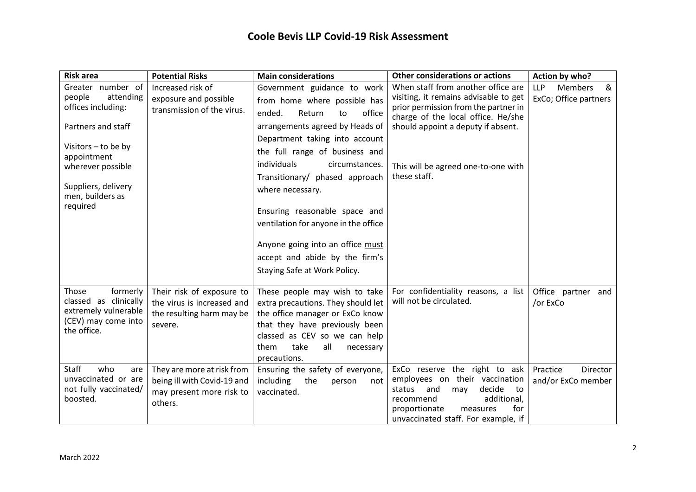| <b>Risk area</b>                                               | <b>Potential Risks</b>                                                   | <b>Main considerations</b>                                                                      | <b>Other considerations or actions</b>                                                                                                                    | Action by who?                                             |
|----------------------------------------------------------------|--------------------------------------------------------------------------|-------------------------------------------------------------------------------------------------|-----------------------------------------------------------------------------------------------------------------------------------------------------------|------------------------------------------------------------|
| Greater number of<br>attending<br>people<br>offices including: | Increased risk of<br>exposure and possible<br>transmission of the virus. | Government guidance to work<br>from home where possible has<br>office<br>ended.<br>Return<br>to | When staff from another office are<br>visiting, it remains advisable to get<br>prior permission from the partner in<br>charge of the local office. He/she | <b>LLP</b><br><b>Members</b><br>&<br>ExCo; Office partners |
| Partners and staff                                             |                                                                          | arrangements agreed by Heads of<br>Department taking into account                               | should appoint a deputy if absent.                                                                                                                        |                                                            |
| Visitors – to be by<br>appointment                             |                                                                          | the full range of business and                                                                  |                                                                                                                                                           |                                                            |
| wherever possible                                              |                                                                          | individuals<br>circumstances.<br>Transitionary/ phased approach                                 | This will be agreed one-to-one with<br>these staff.                                                                                                       |                                                            |
| Suppliers, delivery<br>men, builders as                        |                                                                          | where necessary.                                                                                |                                                                                                                                                           |                                                            |
| required                                                       |                                                                          | Ensuring reasonable space and                                                                   |                                                                                                                                                           |                                                            |
|                                                                |                                                                          | ventilation for anyone in the office                                                            |                                                                                                                                                           |                                                            |
|                                                                |                                                                          | Anyone going into an office must                                                                |                                                                                                                                                           |                                                            |
|                                                                |                                                                          | accept and abide by the firm's                                                                  |                                                                                                                                                           |                                                            |
|                                                                |                                                                          | Staying Safe at Work Policy.                                                                    |                                                                                                                                                           |                                                            |
| formerly<br>Those<br>classed as clinically                     | Their risk of exposure to<br>the virus is increased and                  | These people may wish to take<br>extra precautions. They should let                             | For confidentiality reasons, a list<br>will not be circulated.                                                                                            | Office partner and<br>/or ExCo                             |
| extremely vulnerable<br>(CEV) may come into                    | the resulting harm may be                                                | the office manager or ExCo know                                                                 |                                                                                                                                                           |                                                            |
| the office.                                                    | severe.                                                                  | that they have previously been                                                                  |                                                                                                                                                           |                                                            |
|                                                                |                                                                          | classed as CEV so we can help<br>take<br>them<br>all<br>necessary                               |                                                                                                                                                           |                                                            |
|                                                                |                                                                          | precautions.                                                                                    |                                                                                                                                                           |                                                            |
| <b>Staff</b><br>who<br>are                                     | They are more at risk from                                               | Ensuring the safety of everyone,                                                                | ExCo reserve the right to ask                                                                                                                             | Practice<br>Director                                       |
| unvaccinated or are                                            | being ill with Covid-19 and                                              | including<br>the<br>person<br>not                                                               | employees on their vaccination                                                                                                                            | and/or ExCo member                                         |
| not fully vaccinated/                                          | may present more risk to                                                 | vaccinated.                                                                                     | decide<br>status and<br>may<br>to                                                                                                                         |                                                            |
| boosted.                                                       | others.                                                                  |                                                                                                 | additional,<br>recommend<br>proportionate<br>for<br>measures                                                                                              |                                                            |
|                                                                |                                                                          |                                                                                                 | unvaccinated staff. For example, if                                                                                                                       |                                                            |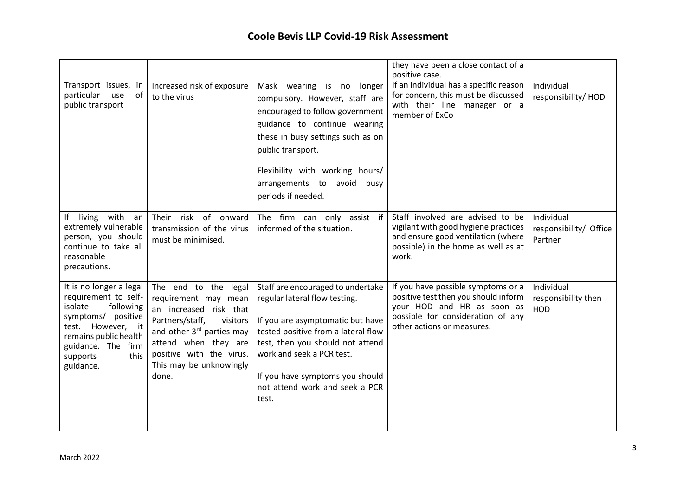|                                                                                                                                                                                                       |                                                                                                                                                                                                                                        |                                                                                                                                                                                                                                                                                              | they have been a close contact of a<br>positive case.                                                                                                                       |                                                 |
|-------------------------------------------------------------------------------------------------------------------------------------------------------------------------------------------------------|----------------------------------------------------------------------------------------------------------------------------------------------------------------------------------------------------------------------------------------|----------------------------------------------------------------------------------------------------------------------------------------------------------------------------------------------------------------------------------------------------------------------------------------------|-----------------------------------------------------------------------------------------------------------------------------------------------------------------------------|-------------------------------------------------|
| Transport issues, in<br>particular<br>use<br>of<br>public transport                                                                                                                                   | Increased risk of exposure<br>to the virus                                                                                                                                                                                             | Mask wearing is no longer<br>compulsory. However, staff are<br>encouraged to follow government<br>guidance to continue wearing<br>these in busy settings such as on<br>public transport.<br>Flexibility with working hours/<br>arrangements to avoid busy<br>periods if needed.              | If an individual has a specific reason<br>for concern, this must be discussed<br>with their line manager or a<br>member of ExCo                                             | Individual<br>responsibility/HOD                |
| If living with<br>an<br>extremely vulnerable<br>person, you should<br>continue to take all<br>reasonable<br>precautions.                                                                              | of onward<br>Their<br>risk<br>transmission of the virus<br>must be minimised.                                                                                                                                                          | The firm can only assist if<br>informed of the situation.                                                                                                                                                                                                                                    | Staff involved are advised to be<br>vigilant with good hygiene practices<br>and ensure good ventilation (where<br>possible) in the home as well as at<br>work.              | Individual<br>responsibility/ Office<br>Partner |
| It is no longer a legal<br>requirement to self-<br>isolate<br>following<br>symptoms/ positive<br>However, it<br>test.<br>remains public health<br>guidance. The firm<br>this<br>supports<br>guidance. | The end to the legal<br>requirement may mean<br>an increased risk that<br>Partners/staff,<br>visitors<br>and other 3 <sup>rd</sup> parties may<br>attend when they are<br>positive with the virus.<br>This may be unknowingly<br>done. | Staff are encouraged to undertake<br>regular lateral flow testing.<br>If you are asymptomatic but have<br>tested positive from a lateral flow<br>test, then you should not attend<br>work and seek a PCR test.<br>If you have symptoms you should<br>not attend work and seek a PCR<br>test. | If you have possible symptoms or a<br>positive test then you should inform<br>your HOD and HR as soon as<br>possible for consideration of any<br>other actions or measures. | Individual<br>responsibility then<br>HOD        |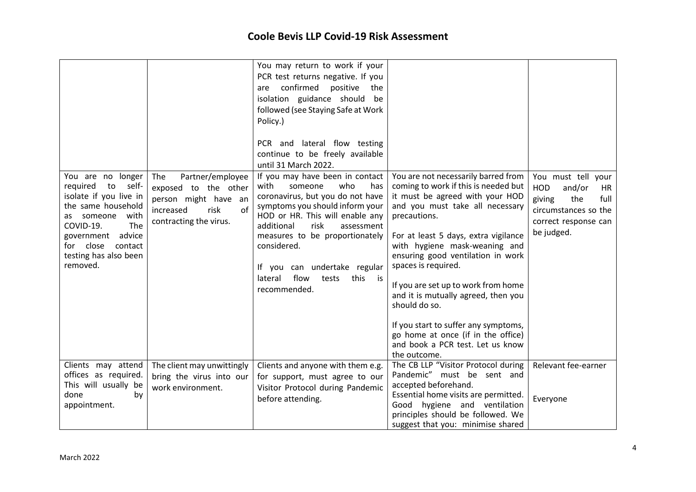|                                                                                                                                                                                                                          |                                                                                                                                     | You may return to work if your<br>PCR test returns negative. If you<br>confirmed<br>positive<br>the<br>are<br>isolation guidance should be<br>followed (see Staying Safe at Work<br>Policy.)<br>PCR and lateral flow testing<br>continue to be freely available<br>until 31 March 2022.                                                                   |                                                                                                                                                                                                                                                                                                                                                                                                                                                                                                                                         |                                                                                                                                  |
|--------------------------------------------------------------------------------------------------------------------------------------------------------------------------------------------------------------------------|-------------------------------------------------------------------------------------------------------------------------------------|-----------------------------------------------------------------------------------------------------------------------------------------------------------------------------------------------------------------------------------------------------------------------------------------------------------------------------------------------------------|-----------------------------------------------------------------------------------------------------------------------------------------------------------------------------------------------------------------------------------------------------------------------------------------------------------------------------------------------------------------------------------------------------------------------------------------------------------------------------------------------------------------------------------------|----------------------------------------------------------------------------------------------------------------------------------|
| You are no longer<br>required<br>to<br>self-<br>isolate if you live in<br>the same household<br>as someone<br>with<br>COVID-19.<br>The<br>government advice<br>for close<br>contact<br>testing has also been<br>removed. | Partner/employee<br><b>The</b><br>exposed to the other<br>person might have an<br>of<br>increased<br>risk<br>contracting the virus. | If you may have been in contact<br>with<br>someone<br>who<br>has<br>coronavirus, but you do not have<br>symptoms you should inform your<br>HOD or HR. This will enable any<br>risk<br>additional<br>assessment<br>measures to be proportionately<br>considered.<br>If you can undertake regular<br>flow<br>lateral<br>this<br>tests<br>is<br>recommended. | You are not necessarily barred from<br>coming to work if this is needed but<br>it must be agreed with your HOD<br>and you must take all necessary<br>precautions.<br>For at least 5 days, extra vigilance<br>with hygiene mask-weaning and<br>ensuring good ventilation in work<br>spaces is required.<br>If you are set up to work from home<br>and it is mutually agreed, then you<br>should do so.<br>If you start to suffer any symptoms,<br>go home at once (if in the office)<br>and book a PCR test. Let us know<br>the outcome. | You must tell your<br>and/or<br>HOD<br>HR<br>the<br>full<br>giving<br>circumstances so the<br>correct response can<br>be judged. |
| Clients may attend<br>offices as required.<br>This will usually be<br>done<br>by<br>appointment.                                                                                                                         | The client may unwittingly<br>bring the virus into our<br>work environment.                                                         | Clients and anyone with them e.g.<br>for support, must agree to our<br>Visitor Protocol during Pandemic<br>before attending.                                                                                                                                                                                                                              | The CB LLP "Visitor Protocol during<br>Pandemic" must be sent and<br>accepted beforehand.<br>Essential home visits are permitted.<br>Good hygiene and ventilation                                                                                                                                                                                                                                                                                                                                                                       | Relevant fee-earner<br>Everyone                                                                                                  |
|                                                                                                                                                                                                                          |                                                                                                                                     |                                                                                                                                                                                                                                                                                                                                                           | principles should be followed. We<br>suggest that you: minimise shared                                                                                                                                                                                                                                                                                                                                                                                                                                                                  |                                                                                                                                  |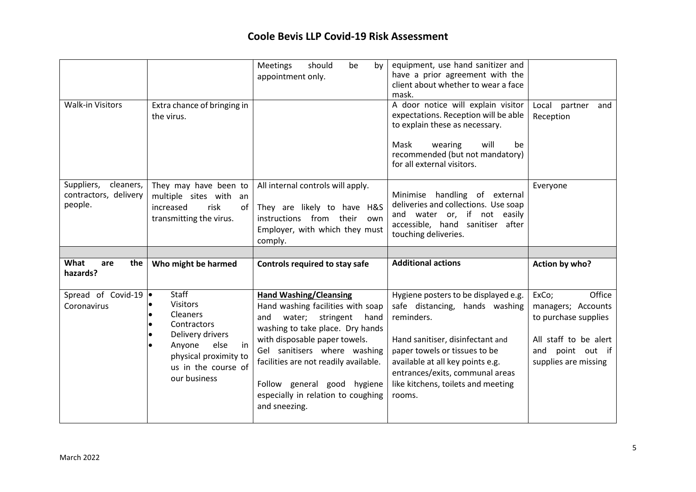|                                                             |                                                                                                       | <b>Meetings</b><br>should<br>be<br>by<br>appointment only.                                                                                      | equipment, use hand sanitizer and<br>have a prior agreement with the<br>client about whether to wear a face<br>mask.                                                             |                                   |
|-------------------------------------------------------------|-------------------------------------------------------------------------------------------------------|-------------------------------------------------------------------------------------------------------------------------------------------------|----------------------------------------------------------------------------------------------------------------------------------------------------------------------------------|-----------------------------------|
| <b>Walk-in Visitors</b>                                     | Extra chance of bringing in<br>the virus.                                                             |                                                                                                                                                 | A door notice will explain visitor<br>expectations. Reception will be able<br>to explain these as necessary.<br>Mask<br>wearing<br>will<br>be<br>recommended (but not mandatory) | Local partner<br>and<br>Reception |
|                                                             |                                                                                                       |                                                                                                                                                 | for all external visitors.                                                                                                                                                       |                                   |
| Suppliers,<br>cleaners,<br>contractors, delivery<br>people. | They may have been to<br>multiple sites with an<br>increased<br>risk<br>of<br>transmitting the virus. | All internal controls will apply.<br>They are likely to have H&S<br>instructions from their<br>own<br>Employer, with which they must<br>comply. | Minimise handling of external<br>deliveries and collections. Use soap<br>and water or, if not easily<br>accessible, hand sanitiser after<br>touching deliveries.                 | Everyone                          |
|                                                             |                                                                                                       |                                                                                                                                                 |                                                                                                                                                                                  |                                   |
|                                                             |                                                                                                       |                                                                                                                                                 |                                                                                                                                                                                  |                                   |
| What<br>the<br>are<br>hazards?                              | Who might be harmed<br><b>Staff</b>                                                                   | Controls required to stay safe                                                                                                                  | <b>Additional actions</b>                                                                                                                                                        | Action by who?                    |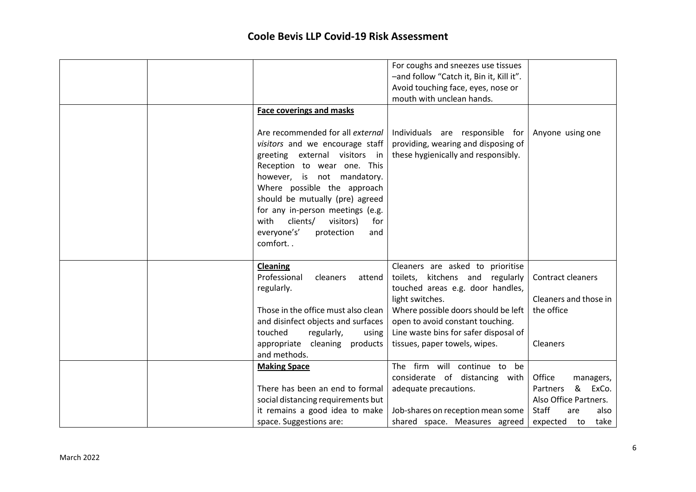|                                                                                                                                                                                                                                                                                                                                                                                        | For coughs and sneezes use tissues<br>-and follow "Catch it, Bin it, Kill it".<br>Avoid touching face, eyes, nose or<br>mouth with unclean hands.             |                                                                                                                       |
|----------------------------------------------------------------------------------------------------------------------------------------------------------------------------------------------------------------------------------------------------------------------------------------------------------------------------------------------------------------------------------------|---------------------------------------------------------------------------------------------------------------------------------------------------------------|-----------------------------------------------------------------------------------------------------------------------|
| <b>Face coverings and masks</b><br>Are recommended for all external<br>visitors and we encourage staff<br>greeting external visitors in<br>Reception to wear one. This<br>however, is not mandatory.<br>Where possible the approach<br>should be mutually (pre) agreed<br>for any in-person meetings (e.g.<br>with<br>clients/<br>visitors)<br>for<br>everyone's'<br>protection<br>and | Individuals are responsible for<br>providing, wearing and disposing of<br>these hygienically and responsibly.                                                 | Anyone using one                                                                                                      |
| comfort                                                                                                                                                                                                                                                                                                                                                                                |                                                                                                                                                               |                                                                                                                       |
| <b>Cleaning</b><br>Professional<br>cleaners<br>attend<br>regularly.                                                                                                                                                                                                                                                                                                                    | Cleaners are asked to prioritise<br>kitchens and<br>regularly<br>toilets,<br>touched areas e.g. door handles,<br>light switches.                              | Contract cleaners<br>Cleaners and those in                                                                            |
| Those in the office must also clean<br>and disinfect objects and surfaces<br>regularly,<br>touched<br>using<br>appropriate cleaning products<br>and methods.                                                                                                                                                                                                                           | Where possible doors should be left<br>open to avoid constant touching.<br>Line waste bins for safer disposal of<br>tissues, paper towels, wipes.             | the office<br>Cleaners                                                                                                |
| <b>Making Space</b><br>There has been an end to formal<br>social distancing requirements but<br>it remains a good idea to make<br>space. Suggestions are:                                                                                                                                                                                                                              | The firm will continue to be<br>considerate of distancing with<br>adequate precautions.<br>Job-shares on reception mean some<br>shared space. Measures agreed | Office<br>managers,<br>&<br>ExCo.<br>Partners<br>Also Office Partners.<br>Staff<br>also<br>are<br>expected to<br>take |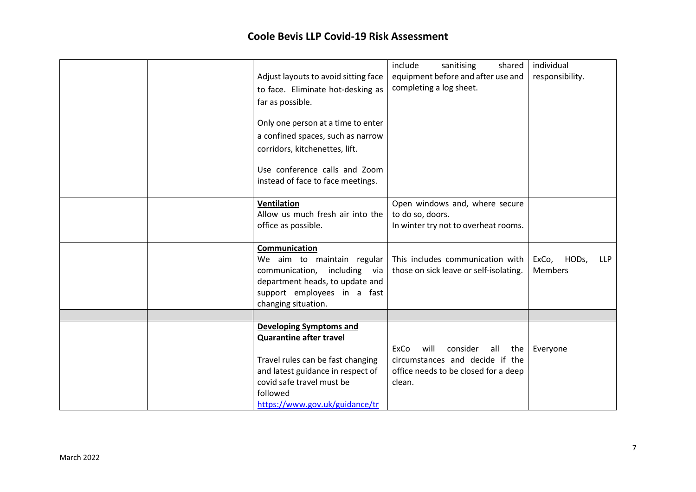|  | Adjust layouts to avoid sitting face                       | include<br>sanitising<br>shared<br>equipment before and after use and      | individual<br>responsibility.                  |
|--|------------------------------------------------------------|----------------------------------------------------------------------------|------------------------------------------------|
|  | to face. Eliminate hot-desking as                          | completing a log sheet.                                                    |                                                |
|  | far as possible.                                           |                                                                            |                                                |
|  |                                                            |                                                                            |                                                |
|  | Only one person at a time to enter                         |                                                                            |                                                |
|  | a confined spaces, such as narrow                          |                                                                            |                                                |
|  | corridors, kitchenettes, lift.                             |                                                                            |                                                |
|  | Use conference calls and Zoom                              |                                                                            |                                                |
|  | instead of face to face meetings.                          |                                                                            |                                                |
|  |                                                            |                                                                            |                                                |
|  | <b>Ventilation</b><br>Allow us much fresh air into the     | Open windows and, where secure<br>to do so, doors.                         |                                                |
|  | office as possible.                                        | In winter try not to overheat rooms.                                       |                                                |
|  |                                                            |                                                                            |                                                |
|  | Communication                                              |                                                                            |                                                |
|  | We aim to maintain regular<br>communication, including via | This includes communication with<br>those on sick leave or self-isolating. | HODs,<br>ExCo,<br><b>LLP</b><br><b>Members</b> |
|  | department heads, to update and                            |                                                                            |                                                |
|  | support employees in a fast                                |                                                                            |                                                |
|  | changing situation.                                        |                                                                            |                                                |
|  |                                                            |                                                                            |                                                |
|  | Developing Symptoms and                                    |                                                                            |                                                |
|  | <b>Quarantine after travel</b>                             | ExCo<br>consider<br>all<br>will<br>the                                     | Everyone                                       |
|  | Travel rules can be fast changing                          | circumstances and decide if the                                            |                                                |
|  | and latest guidance in respect of                          | office needs to be closed for a deep                                       |                                                |
|  | covid safe travel must be                                  | clean.                                                                     |                                                |
|  | followed<br>https://www.gov.uk/guidance/tr                 |                                                                            |                                                |
|  |                                                            |                                                                            |                                                |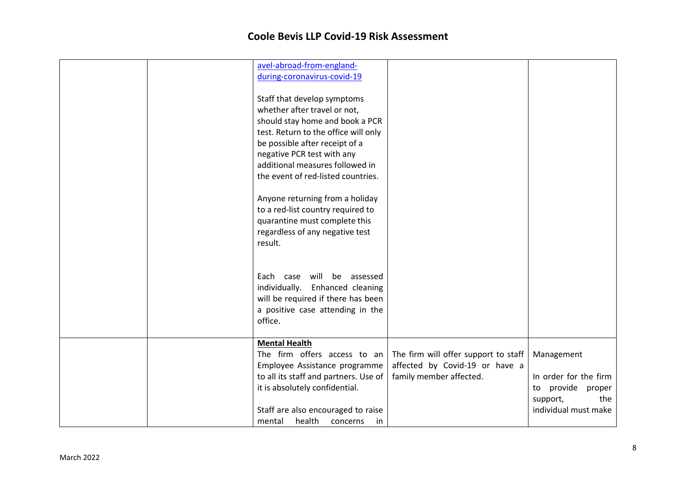|  | avel-abroad-from-england-<br>during-coronavirus-covid-19<br>Staff that develop symptoms<br>whether after travel or not,<br>should stay home and book a PCR<br>test. Return to the office will only<br>be possible after receipt of a<br>negative PCR test with any<br>additional measures followed in<br>the event of red-listed countries.<br>Anyone returning from a holiday<br>to a red-list country required to<br>quarantine must complete this<br>regardless of any negative test<br>result. |                                                                                                   |                                                                                                           |
|--|----------------------------------------------------------------------------------------------------------------------------------------------------------------------------------------------------------------------------------------------------------------------------------------------------------------------------------------------------------------------------------------------------------------------------------------------------------------------------------------------------|---------------------------------------------------------------------------------------------------|-----------------------------------------------------------------------------------------------------------|
|  | will<br>be<br>assessed<br>Each case<br>individually. Enhanced cleaning<br>will be required if there has been<br>a positive case attending in the<br>office.                                                                                                                                                                                                                                                                                                                                        |                                                                                                   |                                                                                                           |
|  | <b>Mental Health</b><br>The firm offers access to an<br>Employee Assistance programme<br>to all its staff and partners. Use of<br>it is absolutely confidential.<br>Staff are also encouraged to raise<br>health<br>mental<br>concerns<br>in                                                                                                                                                                                                                                                       | The firm will offer support to staff<br>affected by Covid-19 or have a<br>family member affected. | Management<br>In order for the firm<br>provide<br>proper<br>to<br>support,<br>the<br>individual must make |